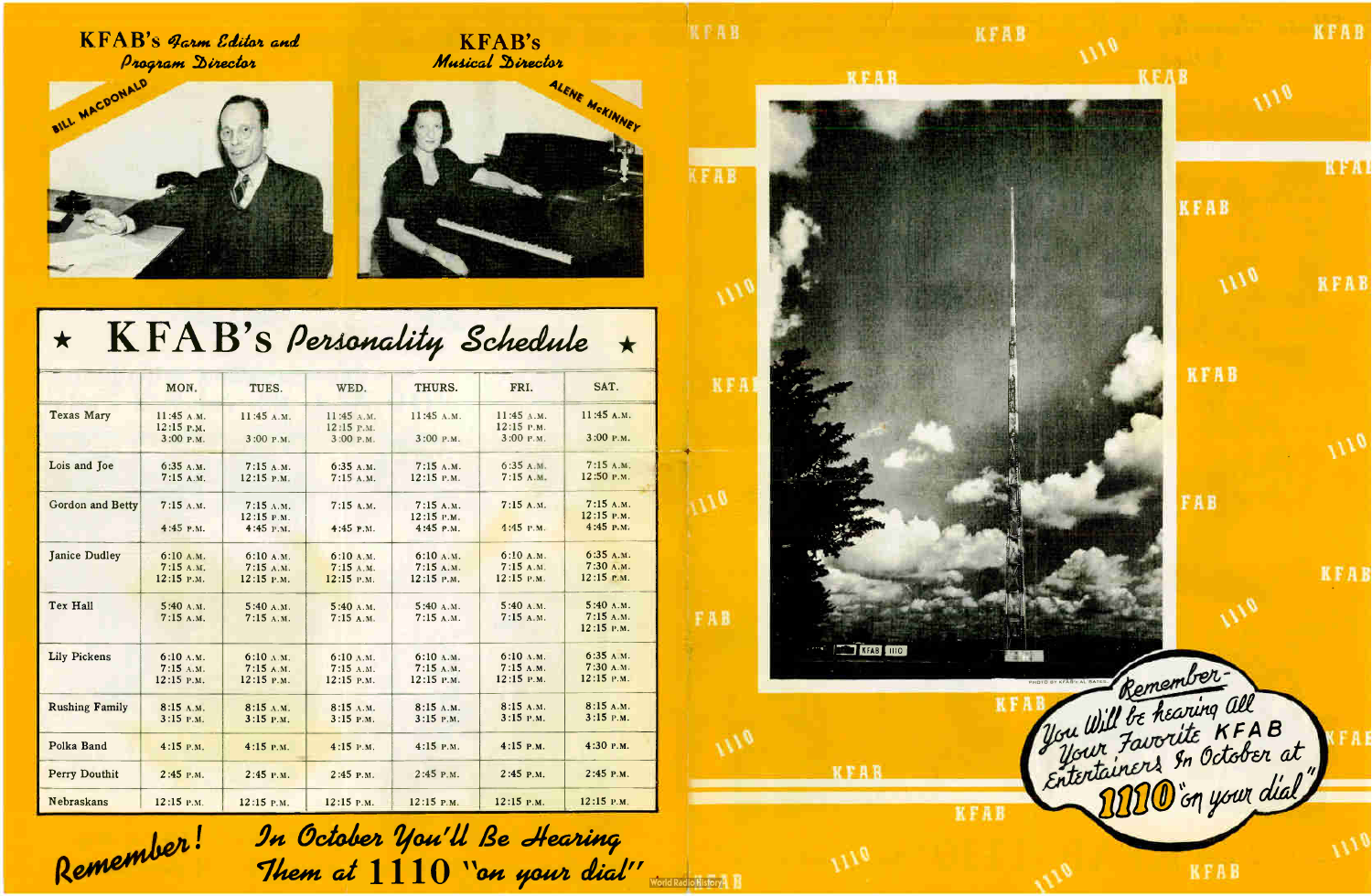KFAB's Jarm Editor and Program Director







## $\star$  KFAB's Personality Schedule  $\star$

|                         |                                         |                                                 |                                       |                                     |                                       | $\blacksquare$                        |
|-------------------------|-----------------------------------------|-------------------------------------------------|---------------------------------------|-------------------------------------|---------------------------------------|---------------------------------------|
|                         | MON.                                    | TUES.                                           | WED.                                  | THURS.                              | FRI.                                  | SAT.                                  |
| <b>Texas Mary</b>       | 11:45 A.M.<br>$12:15$ P.M.<br>3:00 P.M. | 11:45 A.M.<br>3:00 P.M.                         | 11:45 A.M.<br>12:15 г.м.<br>3:00 P.M. | 11:45 A.M.<br>3:00 P.M.             | 11:45 A.M.<br>12:15 P.M.<br>3:00 Р.М. | 11:45 A.M.<br>3:00 P.M.               |
|                         |                                         |                                                 |                                       |                                     |                                       |                                       |
| Lois and Joe            | 6:35A.M.<br>7:15A.M.                    | 7:15A.M.<br>12:15 P.M.                          | 6:35 A.M.<br>7:15A.M.                 | 7:15 A.M.<br>12:15 P.M.             | 6:35A.M.<br>7:15A.M.                  | 7:15A.M.<br>12:50 P.M.                |
| <b>Gordon and Betty</b> | 7:15A.M.                                | $7:15$ A.M.<br>12:15 P.M.                       | $7:15$ A.M.                           | 7:15A.M.<br>12:15 P.M.              | 7:15A.M.                              | 7:15A.M.<br>12:15 P.M.<br>4:45 P.M.   |
|                         | 4:45 P.M.                               | 4:45 P.M.                                       | $4:45$ P.M.                           | 4:45 P.M.                           | 4:45 P.M.                             |                                       |
| <b>Janice Dudley</b>    | 6:10A.M.<br>7:15A.M.<br>12:15 P.M.      | 6:10 A.M.<br>7:15A.M.<br>12:15 P.M.             | 6:10 A.M.<br>7:15A.M.<br>12:15 P.M.   | 6:10 A.M.<br>7:15A.M.<br>12:15 P.M. | 6:10A.M.<br>7:15A.M.<br>12:15 P.M.    | 6:35A.M.<br>7:30A.M.<br>$12:15$ P.M.  |
| Tex Hall                | 5:40 A.M.<br>7:15A.M.                   | 5:40 A.M.<br>7:15A.M.                           | 5:40 A.M.<br>7:15A.M.                 | 5:40 A.M.<br>7:15A.M.               | 5:40 A.M.<br>7:15A.M.                 | $5:40$ A.M.<br>7:15A.M.<br>12:15 P.M. |
| <b>Lily Pickens</b>     | 6:10 A.M.<br>$7:15$ A.M.<br>12:15 P.M.  | $6:10 \text{ A.M.}$<br>7:15A.M.<br>$12:15$ P.M. | 6:10 A.M.<br>7:15 A.M.<br>12:15 P.M.  | 6:10 A.M.<br>7:15A.M.<br>12:15 P.M. | 6:10 A.M.<br>7:15A.M.<br>12:15 P.M.   | 6:35A.M.<br>7:30 A.M.<br>12:15 P.M.   |
| <b>Rushing Family</b>   | 8:15 A.M.<br>$3:15$ P.M.                | 8:15 A.M.<br>$3:15$ P.M.                        | 8:15 A.M.<br>3:15 P.M.                | 8:15 A.M.<br>$3:15$ P.M.            | 8:15 A.M.<br>$3:15$ P.M.              | 8:15 A.M.<br>$3:15$ P.M.              |
| Polka Band              | $4:15$ P.M.                             | $4:15$ P.M.                                     | 4:15 P.M.                             | 4:15 P.M.                           | $4:15$ P.M.                           | 4:30 P.M.                             |
| <b>Perry Douthit</b>    | $2:45$ P.M.                             | $2:45$ P.M.                                     | $2:45$ P.M.                           | $2:45$ P.M.                         | $2:45$ P.M.                           | 2:45 P.M.                             |
| <b>Nebraskans</b>       | $12:15$ P.M.                            | $12:15$ P.M.                                    | 12:15 P.M.                            | 12:15 P.M.                          | 12:15 P.M.                            | 12:15 P.M.                            |



Remember! In October You'll Be Hearing Them at  $1110$  "an your dial" World Redichlistory 1

**KFAB**